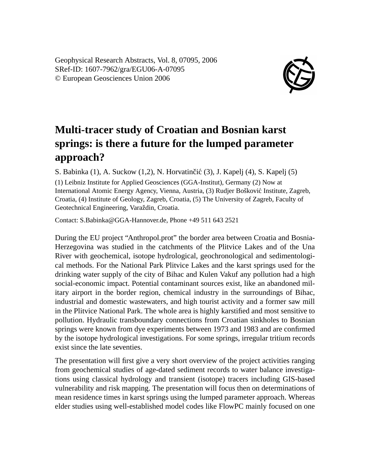Geophysical Research Abstracts, Vol. 8, 07095, 2006 SRef-ID: 1607-7962/gra/EGU06-A-07095 © European Geosciences Union 2006



## **Multi-tracer study of Croatian and Bosnian karst springs: is there a future for the lumped parameter approach?**

S. Babinka  $(1)$ , A. Suckow  $(1,2)$ , N. Horvatinčić  $(3)$ , J. Kapelj  $(4)$ , S. Kapelj  $(5)$ 

(1) Leibniz Institute for Applied Geosciences (GGA-Institut), Germany (2) Now at International Atomic Energy Agency, Vienna, Austria, (3) Rudjer Boškovic Institute, Zagreb, ´ Croatia, (4) Institute of Geology, Zagreb, Croatia, (5) The University of Zagreb, Faculty of Geotechnical Engineering, Varaždin, Croatia.

Contact: S.Babinka@GGA-Hannover.de, Phone +49 511 643 2521

During the EU project "Anthropol.prot" the border area between Croatia and Bosnia-Herzegovina was studied in the catchments of the Plitvice Lakes and of the Una River with geochemical, isotope hydrological, geochronological and sedimentological methods. For the National Park Plitvice Lakes and the karst springs used for the drinking water supply of the city of Bihac and Kulen Vakuf any pollution had a high social-economic impact. Potential contaminant sources exist, like an abandoned military airport in the border region, chemical industry in the surroundings of Bihac, industrial and domestic wastewaters, and high tourist activity and a former saw mill in the Plitvice National Park. The whole area is highly karstified and most sensitive to pollution. Hydraulic transboundary connections from Croatian sinkholes to Bosnian springs were known from dye experiments between 1973 and 1983 and are confirmed by the isotope hydrological investigations. For some springs, irregular tritium records exist since the late seventies.

The presentation will first give a very short overview of the project activities ranging from geochemical studies of age-dated sediment records to water balance investigations using classical hydrology and transient (isotope) tracers including GIS-based vulnerability and risk mapping. The presentation will focus then on determinations of mean residence times in karst springs using the lumped parameter approach. Whereas elder studies using well-established model codes like FlowPC mainly focused on one